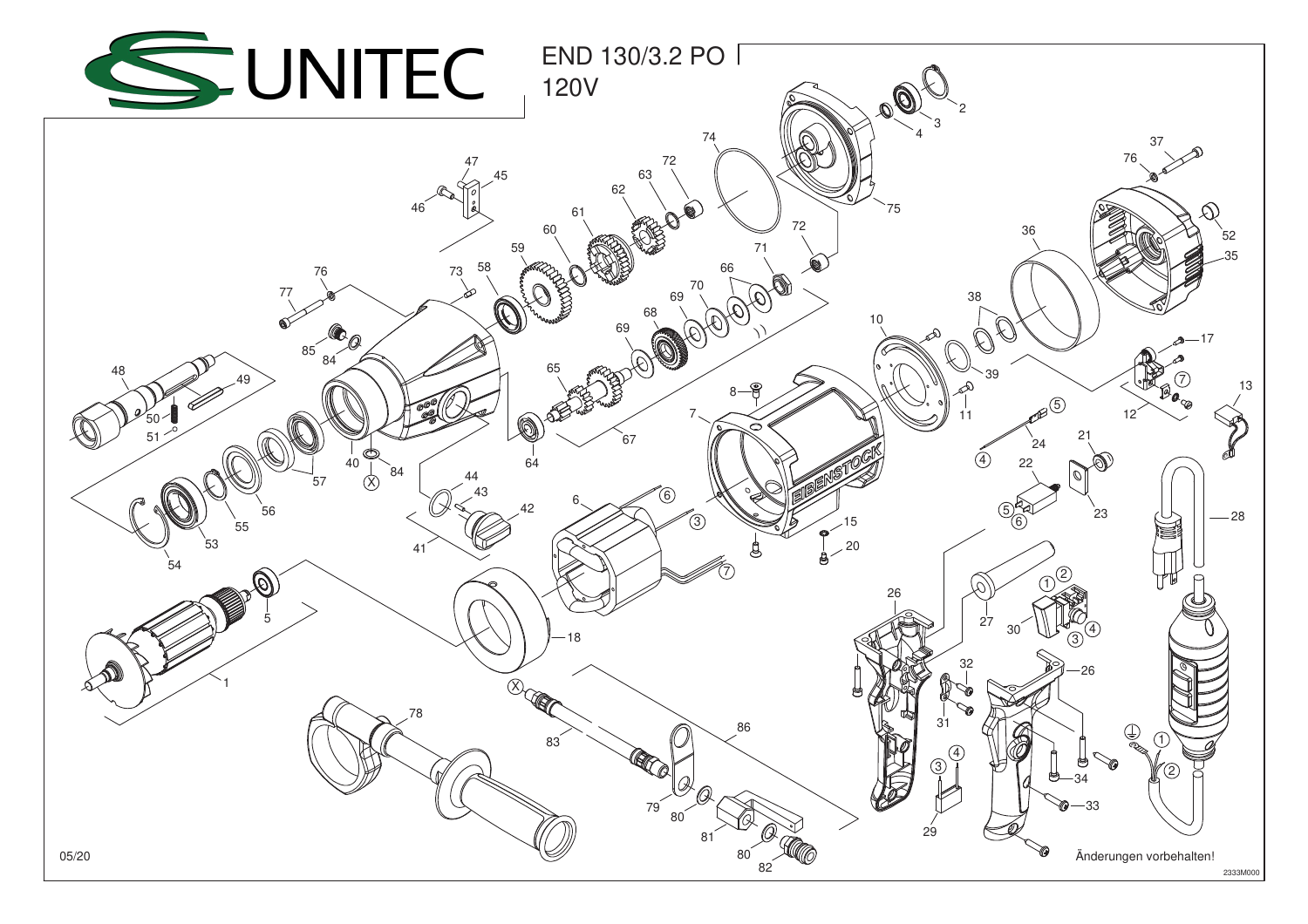